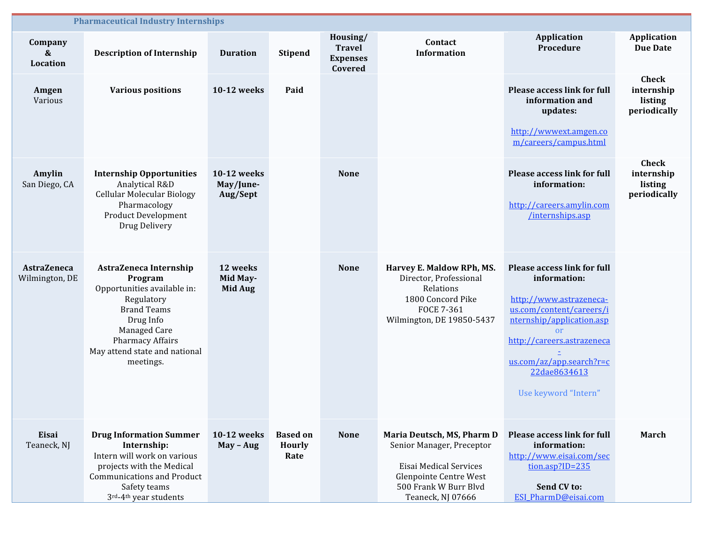|                                      | <b>Pharmaceutical Industry Internships</b>                                                                                                                                                          |                                      |                                          |                                                         |                                                                                                                                                                  |                                                                                                                                                                                                                                                      |                                                       |  |  |  |  |
|--------------------------------------|-----------------------------------------------------------------------------------------------------------------------------------------------------------------------------------------------------|--------------------------------------|------------------------------------------|---------------------------------------------------------|------------------------------------------------------------------------------------------------------------------------------------------------------------------|------------------------------------------------------------------------------------------------------------------------------------------------------------------------------------------------------------------------------------------------------|-------------------------------------------------------|--|--|--|--|
| Company<br>&<br>Location             | <b>Description of Internship</b>                                                                                                                                                                    | <b>Duration</b>                      | <b>Stipend</b>                           | Housing/<br><b>Travel</b><br><b>Expenses</b><br>Covered | Contact<br><b>Information</b>                                                                                                                                    | <b>Application</b><br>Procedure                                                                                                                                                                                                                      | <b>Application</b><br><b>Due Date</b>                 |  |  |  |  |
| Amgen<br>Various                     | <b>Various positions</b>                                                                                                                                                                            | 10-12 weeks                          | Paid                                     |                                                         |                                                                                                                                                                  | <b>Please access link for full</b><br>information and<br>updates:<br>http://wwwext.amgen.co<br>m/careers/campus.html                                                                                                                                 | <b>Check</b><br>internship<br>listing<br>periodically |  |  |  |  |
| Amylin<br>San Diego, CA              | <b>Internship Opportunities</b><br>Analytical R&D<br>Cellular Molecular Biology<br>Pharmacology<br>Product Development<br>Drug Delivery                                                             | 10-12 weeks<br>May/June-<br>Aug/Sept |                                          | <b>None</b>                                             |                                                                                                                                                                  | <b>Please access link for full</b><br>information:<br>http://careers.amylin.com<br>/internships.asp                                                                                                                                                  | <b>Check</b><br>internship<br>listing<br>periodically |  |  |  |  |
| <b>AstraZeneca</b><br>Wilmington, DE | AstraZeneca Internship<br>Program<br>Opportunities available in:<br>Regulatory<br><b>Brand Teams</b><br>Drug Info<br>Managed Care<br>Pharmacy Affairs<br>May attend state and national<br>meetings. | 12 weeks<br>Mid May-<br>Mid Aug      |                                          | <b>None</b>                                             | Harvey E. Maldow RPh, MS.<br>Director, Professional<br>Relations<br>1800 Concord Pike<br><b>FOCE 7-361</b><br>Wilmington, DE 19850-5437                          | Please access link for full<br>information:<br>http://www.astrazeneca-<br>us.com/content/careers/i<br>nternship/application.asp<br><sub>or</sub><br>http://careers.astrazeneca<br>$us.com/az/app.search?r=c$<br>22dae8634613<br>Use keyword "Intern" |                                                       |  |  |  |  |
| Eisai<br>Teaneck, NJ                 | <b>Drug Information Summer</b><br>Internship:<br>Intern will work on various<br>projects with the Medical<br><b>Communications and Product</b><br>Safety teams<br>3rd-4 <sup>th</sup> year students | 10-12 weeks<br>May - Aug             | <b>Based on</b><br><b>Hourly</b><br>Rate | <b>None</b>                                             | Maria Deutsch, MS, Pharm D<br>Senior Manager, Preceptor<br>Eisai Medical Services<br><b>Glenpointe Centre West</b><br>500 Frank W Burr Blvd<br>Teaneck, NJ 07666 | Please access link for full<br>information:<br>http://www.eisai.com/sec<br>tion.asp?ID=235<br>Send CV to:<br>ESI_PharmD@eisai.com                                                                                                                    | March                                                 |  |  |  |  |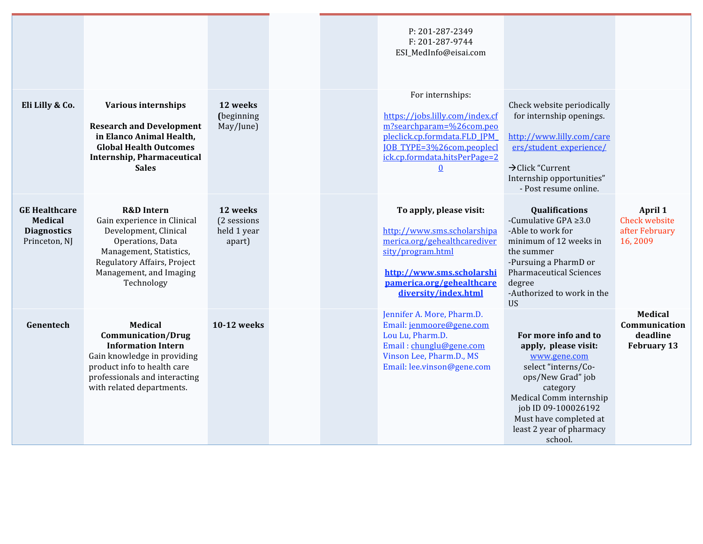|                                                                               |                                                                                                                                                                                                      |                                                  |  | P: 201-287-2349<br>F: 201-287-9744<br>ESI_MedInfo@eisai.com                                                                                                                                      |                                                                                                                                                                                                                                         |                                                              |
|-------------------------------------------------------------------------------|------------------------------------------------------------------------------------------------------------------------------------------------------------------------------------------------------|--------------------------------------------------|--|--------------------------------------------------------------------------------------------------------------------------------------------------------------------------------------------------|-----------------------------------------------------------------------------------------------------------------------------------------------------------------------------------------------------------------------------------------|--------------------------------------------------------------|
| Eli Lilly & Co.                                                               | <b>Various internships</b><br><b>Research and Development</b><br>in Elanco Animal Health,<br><b>Global Health Outcomes</b><br><b>Internship, Pharmaceutical</b><br><b>Sales</b>                      | 12 weeks<br>(beginning<br>May/June)              |  | For internships:<br>https://jobs.lilly.com/index.cf<br>m?searchparam=%26com.peo<br>pleclick.cp.formdata.FLD_JPM<br><b>JOB TYPE=3%26com.peoplecl</b><br>ick.cp.formdata.hitsPerPage=2<br>$\Omega$ | Check website periodically<br>for internship openings.<br>http://www.lilly.com/care<br>ers/student experience/<br>→ Click "Current<br>Internship opportunities"<br>- Post resume online.                                                |                                                              |
| <b>GE Healthcare</b><br><b>Medical</b><br><b>Diagnostics</b><br>Princeton, NJ | <b>R&amp;D</b> Intern<br>Gain experience in Clinical<br>Development, Clinical<br>Operations, Data<br>Management, Statistics,<br>Regulatory Affairs, Project<br>Management, and Imaging<br>Technology | 12 weeks<br>(2 sessions<br>held 1 year<br>apart) |  | To apply, please visit:<br>http://www.sms.scholarshipa<br>merica.org/gehealthcarediver<br>sity/program.html<br>http://www.sms.scholarshi<br>pamerica.org/gehealthcare<br>diversity/index.html    | Qualifications<br>-Cumulative GPA $\geq 3.0$<br>-Able to work for<br>minimum of 12 weeks in<br>the summer<br>-Pursuing a PharmD or<br><b>Pharmaceutical Sciences</b><br>degree<br>-Authorized to work in the<br><b>US</b>               | April 1<br><b>Check website</b><br>after February<br>16,2009 |
| Genentech                                                                     | <b>Medical</b><br><b>Communication/Drug</b><br><b>Information Intern</b><br>Gain knowledge in providing<br>product info to health care<br>professionals and interacting<br>with related departments. | 10-12 weeks                                      |  | Jennifer A. More, Pharm.D.<br>Email: jenmoore@gene.com<br>Lou Lu, Pharm.D.<br>Email: chunglu@gene.com<br>Vinson Lee, Pharm.D., MS<br>Email: lee.vinson@gene.com                                  | For more info and to<br>apply, please visit:<br>www.gene.com<br>select "interns/Co-<br>ops/New Grad" job<br>category<br>Medical Comm internship<br>job ID 09-100026192<br>Must have completed at<br>least 2 year of pharmacy<br>school. | Medical<br>Communication<br>deadline<br><b>February 13</b>   |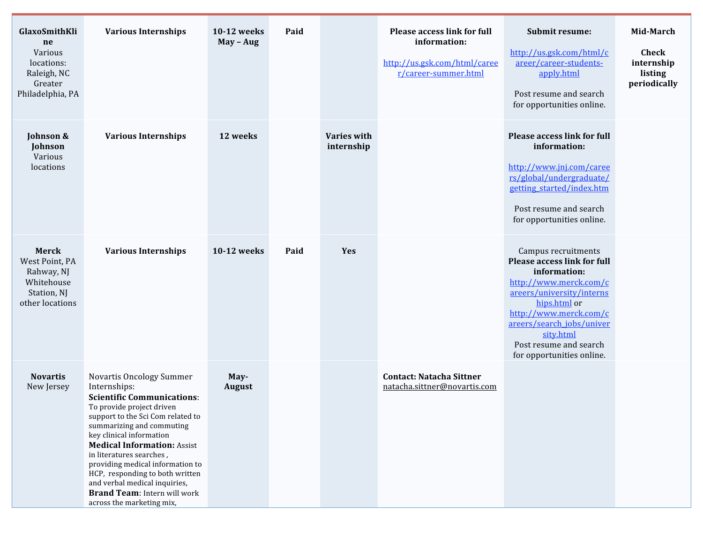| GlaxoSmithKli<br>ne<br>Various<br>locations:<br>Raleigh, NC<br>Greater<br>Philadelphia, PA | <b>Various Internships</b>                                                                                                                                                                                                                                                                                                                                                                                                                             | 10-12 weeks<br>May - Aug | Paid |                                  | <b>Please access link for full</b><br>information:<br>http://us.gsk.com/html/caree<br>r/career-summer.html | Submit resume:<br>http://us.gsk.com/html/c<br>areer/career-students-<br>apply.html<br>Post resume and search<br>for opportunities online.                                                                                                                                   | Mid-March<br><b>Check</b><br>internship<br>listing<br>periodically |
|--------------------------------------------------------------------------------------------|--------------------------------------------------------------------------------------------------------------------------------------------------------------------------------------------------------------------------------------------------------------------------------------------------------------------------------------------------------------------------------------------------------------------------------------------------------|--------------------------|------|----------------------------------|------------------------------------------------------------------------------------------------------------|-----------------------------------------------------------------------------------------------------------------------------------------------------------------------------------------------------------------------------------------------------------------------------|--------------------------------------------------------------------|
| Johnson &<br>Johnson<br>Various<br>locations                                               | <b>Various Internships</b>                                                                                                                                                                                                                                                                                                                                                                                                                             | 12 weeks                 |      | <b>Varies with</b><br>internship |                                                                                                            | Please access link for full<br>information:<br>http://www.jnj.com/caree<br>rs/global/undergraduate/<br>getting started/index.htm<br>Post resume and search<br>for opportunities online.                                                                                     |                                                                    |
| Merck<br>West Point, PA<br>Rahway, NJ<br>Whitehouse<br>Station, NJ<br>other locations      | <b>Various Internships</b>                                                                                                                                                                                                                                                                                                                                                                                                                             | 10-12 weeks              | Paid | <b>Yes</b>                       |                                                                                                            | Campus recruitments<br><b>Please access link for full</b><br>information:<br>http://www.merck.com/c<br>areers/university/interns<br>hips.html or<br>http://www.merck.com/c<br>areers/search_jobs/univer<br>sity.html<br>Post resume and search<br>for opportunities online. |                                                                    |
| <b>Novartis</b><br>New Jersey                                                              | Novartis Oncology Summer<br>Internships:<br><b>Scientific Communications:</b><br>To provide project driven<br>support to the Sci Com related to<br>summarizing and commuting<br>key clinical information<br><b>Medical Information: Assist</b><br>in literatures searches,<br>providing medical information to<br>HCP, responding to both written<br>and verbal medical inquiries,<br><b>Brand Team: Intern will work</b><br>across the marketing mix, | May-<br>August           |      |                                  | <b>Contact: Natacha Sittner</b><br>natacha.sittner@novartis.com                                            |                                                                                                                                                                                                                                                                             |                                                                    |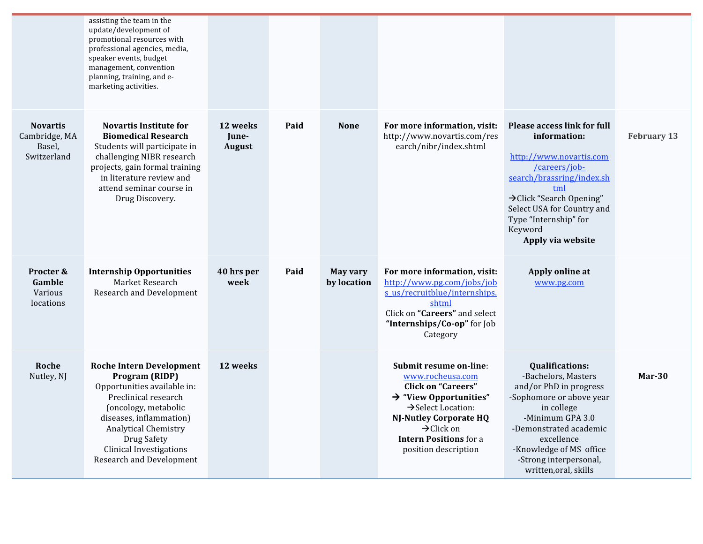|                                                           | assisting the team in the<br>update/development of<br>promotional resources with<br>professional agencies, media,<br>speaker events, budget<br>management, convention<br>planning, training, and e-<br>marketing activities.                                     |                             |      |                         |                                                                                                                                                                                                                                                                     |                                                                                                                                                                                                                                                             |                    |
|-----------------------------------------------------------|------------------------------------------------------------------------------------------------------------------------------------------------------------------------------------------------------------------------------------------------------------------|-----------------------------|------|-------------------------|---------------------------------------------------------------------------------------------------------------------------------------------------------------------------------------------------------------------------------------------------------------------|-------------------------------------------------------------------------------------------------------------------------------------------------------------------------------------------------------------------------------------------------------------|--------------------|
| <b>Novartis</b><br>Cambridge, MA<br>Basel,<br>Switzerland | <b>Novartis Institute for</b><br><b>Biomedical Research</b><br>Students will participate in<br>challenging NIBR research<br>projects, gain formal training<br>in literature review and<br>attend seminar course in<br>Drug Discovery.                            | 12 weeks<br>June-<br>August | Paid | <b>None</b>             | For more information, visit:<br>http://www.novartis.com/res<br>earch/nibr/index.shtml                                                                                                                                                                               | Please access link for full<br>information:<br>http://www.novartis.com<br>/careers/job-<br>search/brassring/index.sh<br>tml<br>> Click "Search Opening"<br>Select USA for Country and<br>Type "Internship" for<br>Keyword<br>Apply via website              | <b>February 13</b> |
| Procter &<br>Gamble<br>Various<br>locations               | <b>Internship Opportunities</b><br>Market Research<br><b>Research and Development</b>                                                                                                                                                                            | 40 hrs per<br>week          | Paid | May vary<br>by location | For more information, visit:<br>http://www.pg.com/jobs/job<br>s us/recruitblue/internships.<br>shtml<br>Click on "Careers" and select<br>"Internships/Co-op" for Job<br>Category                                                                                    | Apply online at<br>www.pg.com                                                                                                                                                                                                                               |                    |
| Roche<br>Nutley, NJ                                       | <b>Roche Intern Development</b><br>Program (RIDP)<br>Opportunities available in:<br>Preclinical research<br>(oncology, metabolic<br>diseases, inflammation)<br>Analytical Chemistry<br>Drug Safety<br><b>Clinical Investigations</b><br>Research and Development | 12 weeks                    |      |                         | <b>Submit resume on-line:</b><br>www.rocheusa.com<br><b>Click on "Careers"</b><br>$\rightarrow$ "View Opportunities"<br>$\rightarrow$ Select Location:<br>NJ-Nutley Corporate HQ<br>$\rightarrow$ Click on<br><b>Intern Positions</b> for a<br>position description | <b>Qualifications:</b><br>-Bachelors, Masters<br>and/or PhD in progress<br>-Sophomore or above year<br>in college<br>-Minimum GPA 3.0<br>-Demonstrated academic<br>excellence<br>-Knowledge of MS office<br>-Strong interpersonal,<br>written, oral, skills | $Mar-30$           |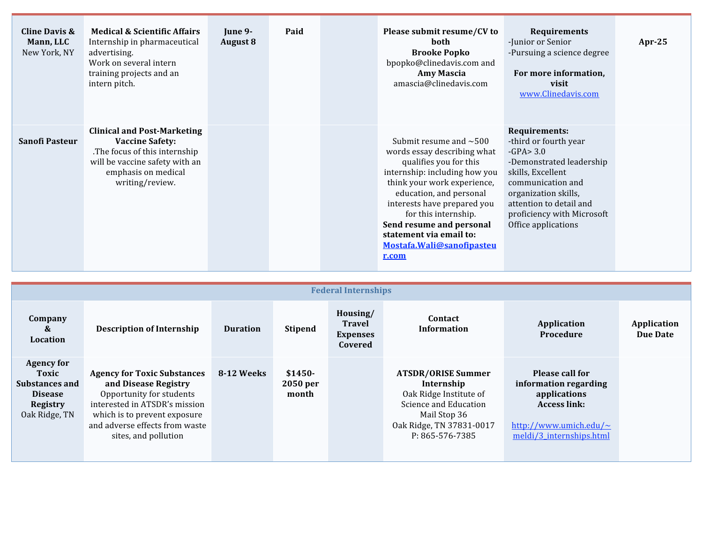| <b>Cline Davis &amp;</b><br>Mann, LLC<br>New York, NY | <b>Medical &amp; Scientific Affairs</b><br>Internship in pharmaceutical<br>advertising.<br>Work on several intern<br>training projects and an<br>intern pitch.            | June 9-<br><b>August 8</b> | Paid | Please submit resume/CV to<br>both<br><b>Brooke Popko</b><br>bpopko@clinedavis.com and<br><b>Amy Mascia</b><br>amascia@clinedavis.com                                                                                                                                                                                                 | Requirements<br>-Junior or Senior<br>-Pursuing a science degree<br>For more information,<br>visit<br>www.Clinedavis.com                                                                                                                     | Apr- $25$ |
|-------------------------------------------------------|---------------------------------------------------------------------------------------------------------------------------------------------------------------------------|----------------------------|------|---------------------------------------------------------------------------------------------------------------------------------------------------------------------------------------------------------------------------------------------------------------------------------------------------------------------------------------|---------------------------------------------------------------------------------------------------------------------------------------------------------------------------------------------------------------------------------------------|-----------|
| <b>Sanofi Pasteur</b>                                 | <b>Clinical and Post-Marketing</b><br><b>Vaccine Safety:</b><br>The focus of this internship.<br>will be vaccine safety with an<br>emphasis on medical<br>writing/review. |                            |      | Submit resume and $\sim$ 500<br>words essay describing what<br>qualifies you for this<br>internship: including how you<br>think your work experience,<br>education, and personal<br>interests have prepared you<br>for this internship.<br>Send resume and personal<br>statement via email to:<br>Mostafa. Wali@sanofipasteu<br>r.com | <b>Requirements:</b><br>-third or fourth year<br>$-GPA > 3.0$<br>-Demonstrated leadership<br>skills, Excellent<br>communication and<br>organization skills,<br>attention to detail and<br>proficiency with Microsoft<br>Office applications |           |

| <b>Federal Internships</b>                                                                  |                                                                                                                                                                                                                   |            |                               |  |                                                                                                                                                           |                                                                                                                                                    |  |  |  |  |  |  |
|---------------------------------------------------------------------------------------------|-------------------------------------------------------------------------------------------------------------------------------------------------------------------------------------------------------------------|------------|-------------------------------|--|-----------------------------------------------------------------------------------------------------------------------------------------------------------|----------------------------------------------------------------------------------------------------------------------------------------------------|--|--|--|--|--|--|
| Company<br>&<br>Location                                                                    | Housing/<br><b>Contact</b><br><b>Travel</b><br>Application<br><b>Stipend</b><br><b>Description of Internship</b><br>Information<br><b>Duration</b><br>Procedure<br><b>Expenses</b><br>Covered                     |            |                               |  |                                                                                                                                                           |                                                                                                                                                    |  |  |  |  |  |  |
| <b>Agency for</b><br>Toxic<br>Substances and<br><b>Disease</b><br>Registry<br>Oak Ridge, TN | <b>Agency for Toxic Substances</b><br>and Disease Registry<br>Opportunity for students<br>interested in ATSDR's mission<br>which is to prevent exposure<br>and adverse effects from waste<br>sites, and pollution | 8-12 Weeks | $$1450-$<br>2050 per<br>month |  | <b>ATSDR/ORISE Summer</b><br>Internship<br>Oak Ridge Institute of<br>Science and Education<br>Mail Stop 36<br>Oak Ridge, TN 37831-0017<br>P: 865-576-7385 | <b>Please call for</b><br>information regarding<br>applications<br><b>Access link:</b><br>http://www.umich.edu/ $\sim$<br>meldi/3_internships.html |  |  |  |  |  |  |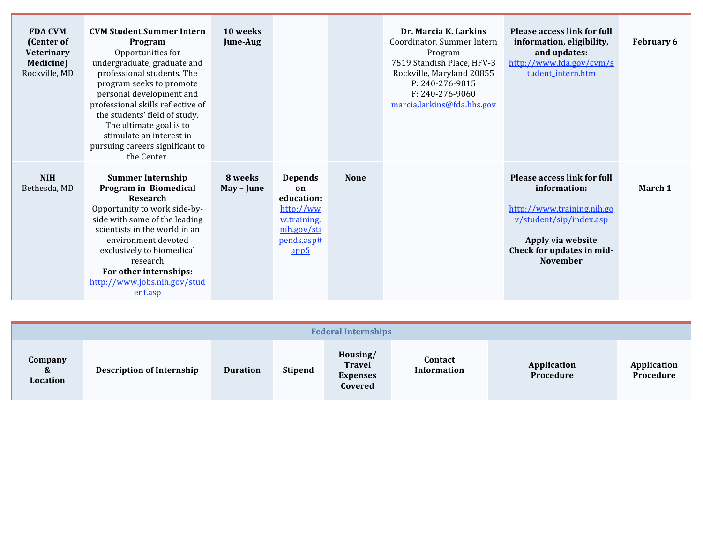| <b>FDA CVM</b><br>(Center of<br>Veterinary<br>Medicine)<br>Rockville, MD | <b>CVM Student Summer Intern</b><br>Program<br>Opportunities for<br>undergraduate, graduate and<br>professional students. The<br>program seeks to promote<br>personal development and<br>professional skills reflective of<br>the students' field of study.<br>The ultimate goal is to<br>stimulate an interest in<br>pursuing careers significant to<br>the Center. | 10 weeks<br>June-Aug  |                                                                                                                 |             | Dr. Marcia K. Larkins<br>Coordinator, Summer Intern<br>Program<br>7519 Standish Place, HFV-3<br>Rockville, Maryland 20855<br>P: 240-276-9015<br>$F: 240 - 276 - 9060$<br>marcia.larkins@fda.hhs.gov | <b>Please access link for full</b><br>information, eligibility,<br>and updates:<br>http://www.fda.gov/cvm/s<br>tudent_intern.htm                                          | <b>February 6</b> |
|--------------------------------------------------------------------------|----------------------------------------------------------------------------------------------------------------------------------------------------------------------------------------------------------------------------------------------------------------------------------------------------------------------------------------------------------------------|-----------------------|-----------------------------------------------------------------------------------------------------------------|-------------|-----------------------------------------------------------------------------------------------------------------------------------------------------------------------------------------------------|---------------------------------------------------------------------------------------------------------------------------------------------------------------------------|-------------------|
| <b>NIH</b><br>Bethesda, MD                                               | <b>Summer Internship</b><br>Program in Biomedical<br>Research<br>Opportunity to work side-by-<br>side with some of the leading<br>scientists in the world in an<br>environment devoted<br>exclusively to biomedical<br>research<br>For other internships:<br>http://www.jobs.nih.gov/stud<br>ent.asp                                                                 | 8 weeks<br>May – June | <b>Depends</b><br>on<br>education:<br>http://ww<br>w.training.<br>nih.gov/sti<br>pends.asp#<br>app <sub>5</sub> | <b>None</b> |                                                                                                                                                                                                     | Please access link for full<br>information:<br>http://www.training.nih.go<br>v/student/sip/index.asp<br>Apply via website<br>Check for updates in mid-<br><b>November</b> | March 1           |

| <b>Federal Internships</b>                   |                                  |                 |                |                                                         |                               |                          |                                        |  |  |  |
|----------------------------------------------|----------------------------------|-----------------|----------------|---------------------------------------------------------|-------------------------------|--------------------------|----------------------------------------|--|--|--|
| Company<br>$\boldsymbol{\alpha}$<br>Location | <b>Description of Internship</b> | <b>Duration</b> | <b>Stipend</b> | Housing/<br><b>Travel</b><br><b>Expenses</b><br>Covered | Contact<br><b>Information</b> | Application<br>Procedure | <b>Application</b><br><b>Procedure</b> |  |  |  |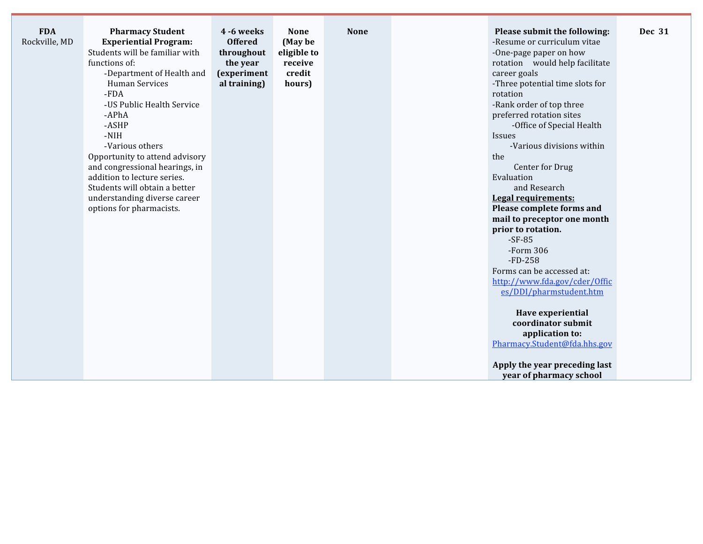| <b>FDA</b><br>Rockville, MD | <b>Pharmacy Student</b><br><b>Experiential Program:</b><br>Students will be familiar with<br>functions of:<br>-Department of Health and<br>Human Services<br>-FDA<br>-US Public Health Service<br>-APhA<br>-ASHP<br>$-NIH$<br>-Various others<br>Opportunity to attend advisory<br>and congressional hearings, in<br>addition to lecture series.<br>Students will obtain a better<br>understanding diverse career<br>options for pharmacists. | 4 -6 weeks<br><b>Offered</b><br>throughout<br>the year<br>(experiment<br>al training) | <b>None</b><br>(May be<br>eligible to<br>receive<br>credit<br>hours) | <b>None</b> | Please submit the following:<br>-Resume or curriculum vitae<br>-One-page paper on how<br>rotation would help facilitate<br>career goals<br>-Three potential time slots for<br>rotation<br>-Rank order of top three<br>preferred rotation sites<br>-Office of Special Health<br>Issues<br>-Various divisions within<br>the<br>Center for Drug<br>Evaluation<br>and Research<br>Legal requirements:<br>Please complete forms and<br>mail to preceptor one month<br>prior to rotation.<br>$-SF-85$<br>$-$ Form 306<br>$-FD-258$<br>Forms can be accessed at:<br>http://www.fda.gov/cder/Offic<br>es/DDI/pharmstudent.htm | <b>Dec 31</b> |
|-----------------------------|-----------------------------------------------------------------------------------------------------------------------------------------------------------------------------------------------------------------------------------------------------------------------------------------------------------------------------------------------------------------------------------------------------------------------------------------------|---------------------------------------------------------------------------------------|----------------------------------------------------------------------|-------------|-----------------------------------------------------------------------------------------------------------------------------------------------------------------------------------------------------------------------------------------------------------------------------------------------------------------------------------------------------------------------------------------------------------------------------------------------------------------------------------------------------------------------------------------------------------------------------------------------------------------------|---------------|
|                             |                                                                                                                                                                                                                                                                                                                                                                                                                                               |                                                                                       |                                                                      |             | Have experiential<br>coordinator submit<br>application to:<br>Pharmacy.Student@fda.hhs.gov<br>Apply the year preceding last<br>year of pharmacy school                                                                                                                                                                                                                                                                                                                                                                                                                                                                |               |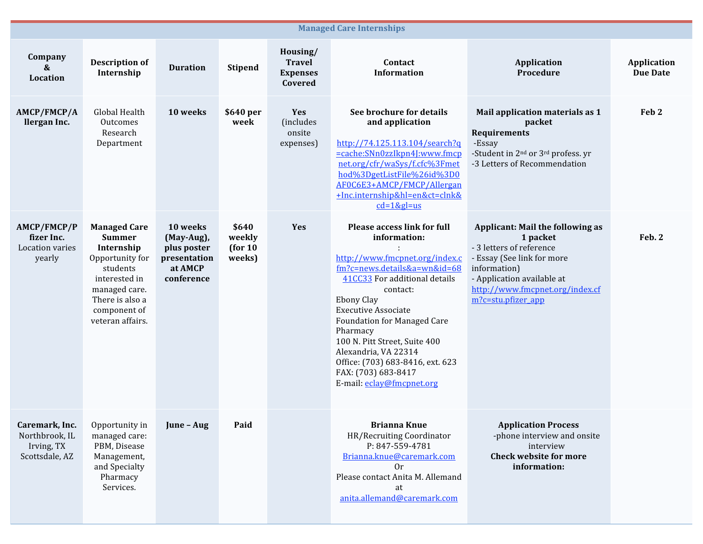|                                                                  |                                                                                                                                                                            |                                                                                |                                       |                                                         | <b>Managed Care Internships</b>                                                                                                                                                                                                                                                                                                                                                                                  |                                                                                                                                                                                                                      |                                |
|------------------------------------------------------------------|----------------------------------------------------------------------------------------------------------------------------------------------------------------------------|--------------------------------------------------------------------------------|---------------------------------------|---------------------------------------------------------|------------------------------------------------------------------------------------------------------------------------------------------------------------------------------------------------------------------------------------------------------------------------------------------------------------------------------------------------------------------------------------------------------------------|----------------------------------------------------------------------------------------------------------------------------------------------------------------------------------------------------------------------|--------------------------------|
| Company<br>&<br>Location                                         | <b>Description of</b><br>Internship                                                                                                                                        | <b>Duration</b>                                                                | <b>Stipend</b>                        | Housing/<br><b>Travel</b><br><b>Expenses</b><br>Covered | Contact<br><b>Information</b>                                                                                                                                                                                                                                                                                                                                                                                    | <b>Application</b><br>Procedure                                                                                                                                                                                      | Application<br><b>Due Date</b> |
| AMCP/FMCP/A<br>llergan Inc.                                      | Global Health<br><b>Outcomes</b><br>Research<br>Department                                                                                                                 | 10 weeks                                                                       | \$640 per<br>week                     | Yes<br><i>(includes)</i><br>onsite<br>expenses)         | See brochure for details<br>and application<br>http://74.125.113.104/search?q<br>=cache:SNn0zzIkpn4J:www.fmcp<br>net.org/cfr/waSys/f.cfc%3Fmet<br>hod%3DgetListFile%26id%3D0<br>AF0C6E3+AMCP/FMCP/Allergan<br>+Inc.internship&hl=en&ct=clnk&<br>$cd = 1$ ≷=us                                                                                                                                                    | Mail application materials as 1<br>packet<br><b>Requirements</b><br>-Essay<br>-Student in 2 <sup>nd</sup> or 3 <sup>rd</sup> profess. yr<br>-3 Letters of Recommendation                                             | Feb <sub>2</sub>               |
| AMCP/FMCP/P<br>fizer Inc.<br>Location varies<br>yearly           | <b>Managed Care</b><br><b>Summer</b><br>Internship<br>Opportunity for<br>students<br>interested in<br>managed care.<br>There is also a<br>component of<br>veteran affairs. | 10 weeks<br>(May-Aug),<br>plus poster<br>presentation<br>at AMCP<br>conference | \$640<br>weekly<br>(for 10)<br>weeks) | Yes                                                     | Please access link for full<br>information:<br>http://www.fmcpnet.org/index.c<br>fm?c=news.details&a=wn&id=68<br>41CC33 For additional details<br>contact:<br><b>Ebony Clay</b><br><b>Executive Associate</b><br><b>Foundation for Managed Care</b><br>Pharmacy<br>100 N. Pitt Street, Suite 400<br>Alexandria, VA 22314<br>Office: (703) 683-8416, ext. 623<br>FAX: (703) 683-8417<br>E-mail: eclay@fmcpnet.org | <b>Applicant: Mail the following as</b><br>1 packet<br>- 3 letters of reference<br>- Essay (See link for more<br>information)<br>- Application available at<br>http://www.fmcpnet.org/index.cf<br>m?c=stu.pfizer_app | Feb. 2                         |
| Caremark, Inc.<br>Northbrook, IL<br>Irving, TX<br>Scottsdale, AZ | Opportunity in<br>managed care:<br>PBM, Disease<br>Management,<br>and Specialty<br>Pharmacy<br>Services.                                                                   | June - Aug                                                                     | Paid                                  |                                                         | <b>Brianna Knue</b><br>HR/Recruiting Coordinator<br>P: 847-559-4781<br>Brianna.knue@caremark.com<br>0r<br>Please contact Anita M. Allemand<br>at<br>anita.allemand@caremark.com                                                                                                                                                                                                                                  | <b>Application Process</b><br>-phone interview and onsite<br>interview<br><b>Check website for more</b><br>information:                                                                                              |                                |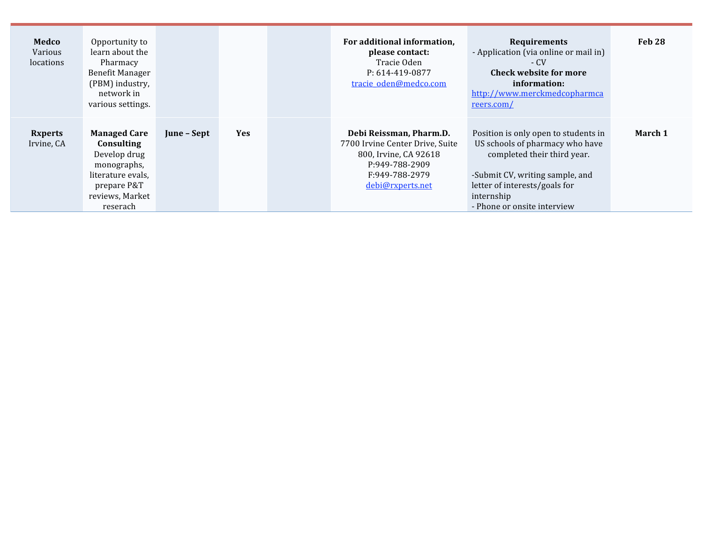| Medco<br>Various<br>locations | Opportunity to<br>learn about the<br>Pharmacy<br><b>Benefit Manager</b><br>(PBM) industry,<br>network in<br>various settings.       |             |            | For additional information,<br>please contact:<br>Tracie Oden<br>P: 614-419-0877<br>tracie_oden@medco.com                                   | Requirements<br>- Application (via online or mail in)<br>- CV<br><b>Check website for more</b><br>information:<br>http://www.merckmedcopharmca<br>reers.com/                                                            | Feb 28  |
|-------------------------------|-------------------------------------------------------------------------------------------------------------------------------------|-------------|------------|---------------------------------------------------------------------------------------------------------------------------------------------|-------------------------------------------------------------------------------------------------------------------------------------------------------------------------------------------------------------------------|---------|
| <b>Rxperts</b><br>Irvine, CA  | <b>Managed Care</b><br>Consulting<br>Develop drug<br>monographs,<br>literature evals,<br>prepare P&T<br>reviews, Market<br>reserach | June – Sept | <b>Yes</b> | Debi Reissman, Pharm.D.<br>7700 Irvine Center Drive, Suite<br>800, Irvine, CA 92618<br>P:949-788-2909<br>F:949-788-2979<br>debi@rxperts.net | Position is only open to students in<br>US schools of pharmacy who have<br>completed their third year.<br>-Submit CV, writing sample, and<br>letter of interests/goals for<br>internship<br>- Phone or onsite interview | March 1 |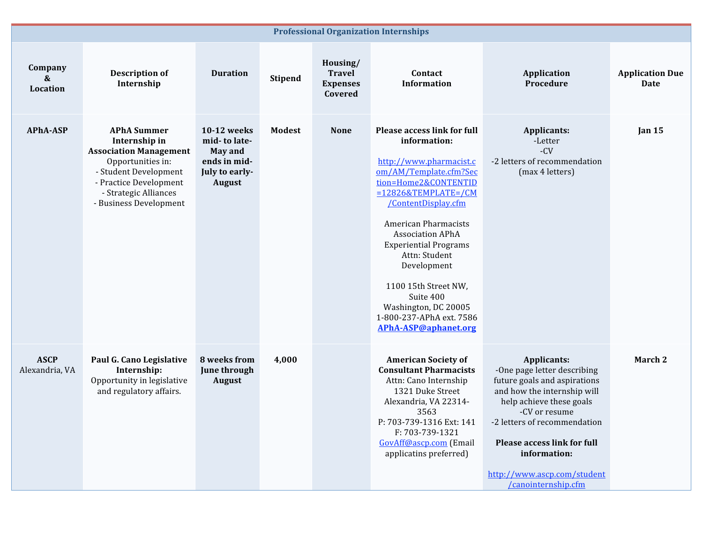| <b>Professional Organization Internships</b> |                                                                                                                                                                                                 |                                                                                                  |                |                                                         |                                                                                                                                                                                                                                                                                                                                                                                                                                           |                                                                                                                                                                                                                                                                                                    |                                |  |  |  |
|----------------------------------------------|-------------------------------------------------------------------------------------------------------------------------------------------------------------------------------------------------|--------------------------------------------------------------------------------------------------|----------------|---------------------------------------------------------|-------------------------------------------------------------------------------------------------------------------------------------------------------------------------------------------------------------------------------------------------------------------------------------------------------------------------------------------------------------------------------------------------------------------------------------------|----------------------------------------------------------------------------------------------------------------------------------------------------------------------------------------------------------------------------------------------------------------------------------------------------|--------------------------------|--|--|--|
| Company<br>&<br>Location                     | <b>Description of</b><br>Internship                                                                                                                                                             | <b>Duration</b>                                                                                  | <b>Stipend</b> | Housing/<br><b>Travel</b><br><b>Expenses</b><br>Covered | Contact<br><b>Information</b>                                                                                                                                                                                                                                                                                                                                                                                                             | Application<br>Procedure                                                                                                                                                                                                                                                                           | <b>Application Due</b><br>Date |  |  |  |
| <b>APhA-ASP</b>                              | <b>APhA Summer</b><br>Internship in<br><b>Association Management</b><br>Opportunities in:<br>- Student Development<br>- Practice Development<br>- Strategic Alliances<br>- Business Development | 10-12 weeks<br>mid-to late-<br><b>May and</b><br>ends in mid-<br>July to early-<br><b>August</b> | <b>Modest</b>  | <b>None</b>                                             | <b>Please access link for full</b><br>information:<br>http://www.pharmacist.c<br>om/AM/Template.cfm?Sec<br>tion=Home2&CONTENTID<br>$=12826&\text{TEMPLATE}$ / CM<br>/ContentDisplay.cfm<br><b>American Pharmacists</b><br><b>Association APhA</b><br><b>Experiential Programs</b><br>Attn: Student<br>Development<br>1100 15th Street NW,<br>Suite 400<br>Washington, DC 20005<br>1-800-237-APhA ext. 7586<br><b>APhA-ASP@aphanet.org</b> | <b>Applicants:</b><br>-Letter<br>$-CV$<br>-2 letters of recommendation<br>(max 4 letters)                                                                                                                                                                                                          | <b>Jan 15</b>                  |  |  |  |
| <b>ASCP</b><br>Alexandria, VA                | Paul G. Cano Legislative<br>Internship:<br>Opportunity in legislative<br>and regulatory affairs.                                                                                                | 8 weeks from<br>June through<br><b>August</b>                                                    | 4,000          |                                                         | <b>American Society of</b><br><b>Consultant Pharmacists</b><br>Attn: Cano Internship<br>1321 Duke Street<br>Alexandria, VA 22314-<br>3563<br>P: 703-739-1316 Ext: 141<br>F: 703-739-1321<br>GovAff@ascp.com (Email<br>applicatins preferred)                                                                                                                                                                                              | Applicants:<br>-One page letter describing<br>future goals and aspirations<br>and how the internship will<br>help achieve these goals<br>-CV or resume<br>-2 letters of recommendation<br><b>Please access link for full</b><br>information:<br>http://www.ascp.com/student<br>/canointernship.cfm | March 2                        |  |  |  |